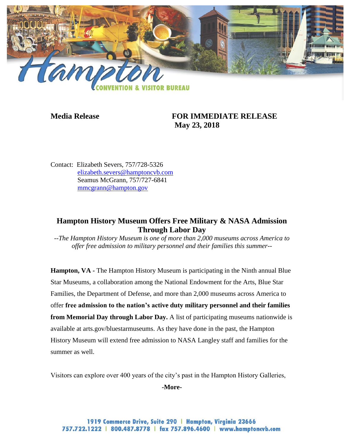

## **Media Release FOR IMMEDIATE RELEASE May 23, 2018**

Contact: Elizabeth Severs, 757/728-5326 [elizabeth.severs@hamptoncvb.com](mailto:elizabeth.severs@hamptoncvb.com) Seamus McGrann, 757/727-6841 [mmcgrann@hampton.gov](mailto:mmcgrann@hampton.gov)

## **Hampton History Museum Offers Free Military & NASA Admission Through Labor Day**

*--The Hampton History Museum is one of more than 2,000 museums across America to offer free admission to military personnel and their families this summer--*

**Hampton, VA -** The Hampton History Museum is participating in the Ninth annual Blue Star Museums, a collaboration among the National Endowment for the Arts, Blue Star Families, the Department of Defense, and more than 2,000 museums across America to offer **free admission to the nation's active duty military personnel and their families from Memorial Day through Labor Day.** A list of participating museums nationwide is available at arts.gov/bluestarmuseums. As they have done in the past, the Hampton History Museum will extend free admission to NASA Langley staff and families for the summer as well.

Visitors can explore over 400 years of the city's past in the Hampton History Galleries,

**-More-**

1919 Commerce Drive, Suite 290 | Hampton, Virginia 23666 757.722.1222 | 800.487.8778 | fax 757.896.4600 | www.hamptoncvb.com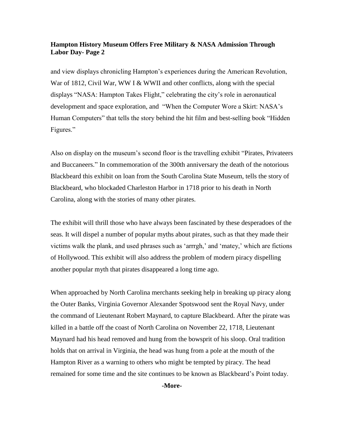## **Hampton History Museum Offers Free Military & NASA Admission Through Labor Day- Page 2**

and view displays chronicling Hampton's experiences during the American Revolution, War of 1812, Civil War, WW I & WWII and other conflicts, along with the special displays "NASA: Hampton Takes Flight," celebrating the city's role in aeronautical development and space exploration, and "When the Computer Wore a Skirt: NASA's Human Computers" that tells the story behind the hit film and best-selling book "Hidden Figures."

Also on display on the museum's second floor is the travelling exhibit "Pirates, Privateers and Buccaneers." In commemoration of the 300th anniversary the death of the notorious Blackbeard this exhibit on loan from the South Carolina State Museum, tells the story of Blackbeard, who blockaded Charleston Harbor in 1718 prior to his death in North Carolina, along with the stories of many other pirates.

The exhibit will thrill those who have always been fascinated by these desperadoes of the seas. It will dispel a number of popular myths about pirates, such as that they made their victims walk the plank, and used phrases such as 'arrrgh,' and 'matey,' which are fictions of Hollywood. This exhibit will also address the problem of modern piracy dispelling another popular myth that pirates disappeared a long time ago.

When approached by North Carolina merchants seeking help in breaking up piracy along the Outer Banks, Virginia Governor Alexander Spotswood sent the Royal Navy, under the command of Lieutenant Robert Maynard, to capture Blackbeard. After the pirate was killed in a battle off the coast of North Carolina on November 22, 1718, Lieutenant Maynard had his head removed and hung from the bowsprit of his sloop. Oral tradition holds that on arrival in Virginia, the head was hung from a pole at the mouth of the Hampton River as a warning to others who might be tempted by piracy. The head remained for some time and the site continues to be known as Blackbeard's Point today.

**-More-**